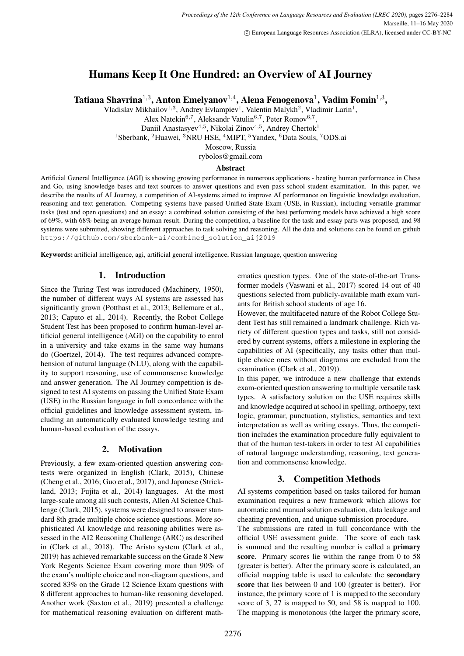# Humans Keep It One Hundred: an Overview of AI Journey

Tatiana Shavrina $^{1,3}$ , Anton Emelyanov $^{1,4}$ , Alena Fenogenova $^{1}$ , Vadim Fomin $^{1,3}$ ,

Vladislav Mikhailov<sup>1,3</sup>, Andrey Evlampiev<sup>1</sup>, Valentin Malykh<sup>2</sup>, Vladimir Larin<sup>1</sup>,

Alex Natekin<sup>6,7</sup>, Aleksandr Vatulin<sup>6,7</sup>, Peter Romov<sup>6,7</sup>,

Daniil Anastasyev<sup>4,5</sup>, Nikolai Zinov<sup>4,5</sup>, Andrey Chertok<sup>1</sup>

<sup>1</sup>Sberbank, <sup>2</sup>Huawei, <sup>3</sup>NRU HSE, <sup>4</sup>MIPT, <sup>5</sup>Yandex, <sup>6</sup>Data Souls, <sup>7</sup>ODS.ai

Moscow, Russia

rybolos@gmail.com

## Abstract

Artificial General Intelligence (AGI) is showing growing performance in numerous applications - beating human performance in Chess and Go, using knowledge bases and text sources to answer questions and even pass school student examination. In this paper, we describe the results of AI Journey, a competition of AI-systems aimed to improve AI performance on linguistic knowledge evaluation, reasoning and text generation. Competing systems have passed Unified State Exam (USE, in Russian), including versatile grammar tasks (test and open questions) and an essay: a combined solution consisting of the best performing models have achieved a high score of 69%, with 68% being an average human result. During the competition, a baseline for the task and essay parts was proposed, and 98 systems were submitted, showing different approaches to task solving and reasoning. All the data and solutions can be found on github https://github.com/sberbank-ai/combined\_solution\_aij2019

Keywords: artificial intelligence, agi, artificial general intelligence, Russian language, question answering

# 1. Introduction

Since the Turing Test was introduced (Machinery, 1950), the number of different ways AI systems are assessed has significantly grown (Potthast et al., 2013; Bellemare et al., 2013; Caputo et al., 2014). Recently, the Robot College Student Test has been proposed to confirm human-level artificial general intelligence (AGI) on the capability to enrol in a university and take exams in the same way humans do (Goertzel, 2014). The test requires advanced comprehension of natural language (NLU), along with the capability to support reasoning, use of commonsense knowledge and answer generation. The AI Journey competition is designed to test AI systems on passing the Unified State Exam (USE) in the Russian language in full concordance with the official guidelines and knowledge assessment system, including an automatically evaluated knowledge testing and human-based evaluation of the essays.

## 2. Motivation

Previously, a few exam-oriented question answering contests were organized in English (Clark, 2015), Chinese (Cheng et al., 2016; Guo et al., 2017), and Japanese (Strickland, 2013; Fujita et al., 2014) languages. At the most large-scale among all such contests, Allen AI Science Challenge (Clark, 2015), systems were designed to answer standard 8th grade multiple choice science questions. More sophisticated AI knowledge and reasoning abilities were assessed in the AI2 Reasoning Challenge (ARC) as described in (Clark et al., 2018). The Aristo system (Clark et al., 2019) has achieved remarkable success on the Grade 8 New York Regents Science Exam covering more than 90% of the exam's multiple choice and non-diagram questions, and scored 83% on the Grade 12 Science Exam questions with 8 different approaches to human-like reasoning developed. Another work (Saxton et al., 2019) presented a challenge for mathematical reasoning evaluation on different mathematics question types. One of the state-of-the-art Transformer models (Vaswani et al., 2017) scored 14 out of 40 questions selected from publicly-available math exam variants for British school students of age 16.

However, the multifaceted nature of the Robot College Student Test has still remained a landmark challenge. Rich variety of different question types and tasks, still not considered by current systems, offers a milestone in exploring the capabilities of AI (specifically, any tasks other than multiple choice ones without diagrams are excluded from the examination (Clark et al., 2019)).

In this paper, we introduce a new challenge that extends exam-oriented question answering to multiple versatile task types. A satisfactory solution on the USE requires skills and knowledge acquired at school in spelling, orthoepy, text logic, grammar, punctuation, stylistics, semantics and text interpretation as well as writing essays. Thus, the competition includes the examination procedure fully equivalent to that of the human test-takers in order to test AI capabilities of natural language understanding, reasoning, text generation and commonsense knowledge.

# 3. Competition Methods

AI systems competition based on tasks tailored for human examination requires a new framework which allows for automatic and manual solution evaluation, data leakage and cheating prevention, and unique submission procedure.

The submissions are rated in full concordance with the official USE assessment guide. The score of each task is summed and the resulting number is called a primary score. Primary scores lie within the range from 0 to 58 (greater is better). After the primary score is calculated, an official mapping table is used to calculate the secondary score that lies between 0 and 100 (greater is better). For instance, the primary score of 1 is mapped to the secondary score of 3, 27 is mapped to 50, and 58 is mapped to 100. The mapping is monotonous (the larger the primary score,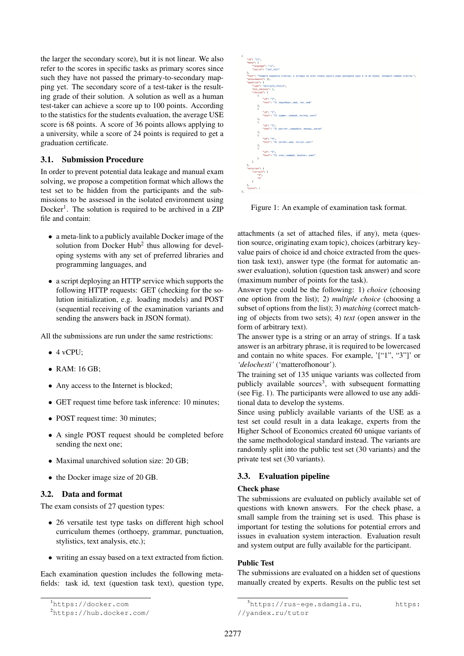the larger the secondary score), but it is not linear. We also refer to the scores in specific tasks as primary scores since such they have not passed the primary-to-secondary mapping yet. The secondary score of a test-taker is the resulting grade of their solution. A solution as well as a human test-taker can achieve a score up to 100 points. According to the statistics for the students evaluation, the average USE score is 68 points. A score of 36 points allows applying to a university, while a score of 24 points is required to get a graduation certificate.

#### 3.1. Submission Procedure

In order to prevent potential data leakage and manual exam solving, we propose a competition format which allows the test set to be hidden from the participants and the submissions to be assessed in the isolated environment using Docker<sup>1</sup>. The solution is required to be archived in a ZIP file and contain:

- a meta-link to a publicly available Docker image of the solution from Docker  $Hub<sup>2</sup>$  thus allowing for developing systems with any set of preferred libraries and programming languages, and
- a script deploying an HTTP service which supports the following HTTP requests: GET (checking for the solution initialization, e.g. loading models) and POST (sequential receiving of the examination variants and sending the answers back in JSON format).

All the submissions are run under the same restrictions:

- $\bullet$  4 vCPU;
- RAM: 16 GB;
- Any access to the Internet is blocked;
- GET request time before task inference: 10 minutes;
- POST request time: 30 minutes;
- A single POST request should be completed before sending the next one;
- Maximal unarchived solution size: 20 GB;
- the Docker image size of 20 GB.

## 3.2. Data and format

The exam consists of 27 question types:

- 26 versatile test type tasks on different high school curriculum themes (orthoepy, grammar, punctuation, stylistics, text analysis, etc.);
- writing an essay based on a text extracted from fiction.

Each examination question includes the following metafields: task id, text (question task text), question type,



Figure 1: An example of examination task format.

attachments (a set of attached files, if any), meta (question source, originating exam topic), choices (arbitrary keyvalue pairs of choice id and choice extracted from the question task text), answer type (the format for automatic answer evaluation), solution (question task answer) and score (maximum number of points for the task).

Answer type could be the following: 1) *choice* (choosing one option from the list); 2) *multiple choice* (choosing a subset of options from the list); 3) *matching* (correct matching of objects from two sets); 4) *text* (open answer in the form of arbitrary text).

The answer type is a string or an array of strings. If a task answer is an arbitrary phrase, it is required to be lowercased and contain no white spaces. For example, '["1", "3"]' or *'delochesti'* ('matterofhonour').

The training set of 135 unique variants was collected from publicly available sources<sup>3</sup>, with subsequent formatting (see Fig. 1). The participants were allowed to use any additional data to develop the systems.

Since using publicly available variants of the USE as a test set could result in a data leakage, experts from the Higher School of Economics created 60 unique variants of the same methodological standard instead. The variants are randomly split into the public test set (30 variants) and the private test set (30 variants).

#### 3.3. Evaluation pipeline

#### Check phase

The submissions are evaluated on publicly available set of questions with known answers. For the check phase, a small sample from the training set is used. This phase is important for testing the solutions for potential errors and issues in evaluation system interaction. Evaluation result and system output are fully available for the participant.

# Public Test

The submissions are evaluated on a hidden set of questions manually created by experts. Results on the public test set

<sup>1</sup>https://docker.com

<sup>2</sup>https://hub.docker.com/

<sup>3</sup>https://rus-ege.sdamgia.ru, https: //yandex.ru/tutor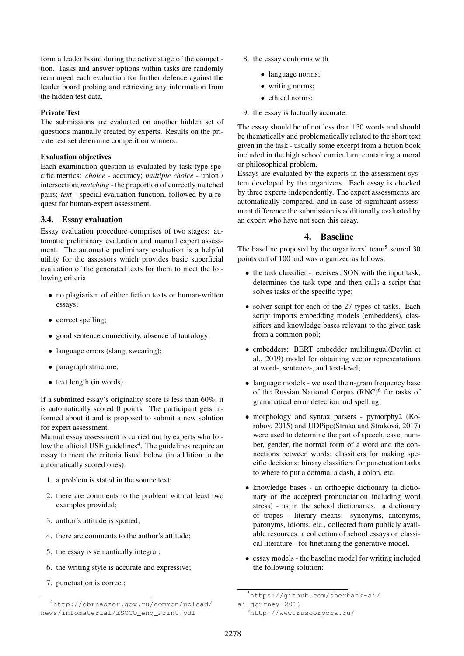form a leader board during the active stage of the competition. Tasks and answer options within tasks are randomly rearranged each evaluation for further defence against the leader board probing and retrieving any information from the hidden test data.

## Private Test

The submissions are evaluated on another hidden set of questions manually created by experts. Results on the private test set determine competition winners.

#### Evaluation objectives

Each examination question is evaluated by task type specific metrics: *choice* - accuracy; *multiple choice* - union / intersection; *matching* - the proportion of correctly matched pairs; *text* - special evaluation function, followed by a request for human-expert assessment.

# 3.4. Essay evaluation

Essay evaluation procedure comprises of two stages: automatic preliminary evaluation and manual expert assessment. The automatic preliminary evaluation is a helpful utility for the assessors which provides basic superficial evaluation of the generated texts for them to meet the following criteria:

- no plagiarism of either fiction texts or human-written essays;
- correct spelling;
- good sentence connectivity, absence of tautology;
- language errors (slang, swearing);
- paragraph structure;
- text length (in words).

If a submitted essay's originality score is less than 60%, it is automatically scored 0 points. The participant gets informed about it and is proposed to submit a new solution for expert assessment.

Manual essay assessment is carried out by experts who follow the official USE guidelines<sup>4</sup>. The guidelines require an essay to meet the criteria listed below (in addition to the automatically scored ones):

- 1. a problem is stated in the source text;
- 2. there are comments to the problem with at least two examples provided;
- 3. author's attitude is spotted;
- 4. there are comments to the author's attitude;
- 5. the essay is semantically integral;
- 6. the writing style is accurate and expressive;
- 7. punctuation is correct;
- 8. the essay conforms with
	- language norms;
	- writing norms;
	- ethical norms;
- 9. the essay is factually accurate.

The essay should be of not less than 150 words and should be thematically and problematically related to the short text given in the task - usually some excerpt from a fiction book included in the high school curriculum, containing a moral or philosophical problem.

Essays are evaluated by the experts in the assessment system developed by the organizers. Each essay is checked by three experts independently. The expert assessments are automatically compared, and in case of significant assessment difference the submission is additionally evaluated by an expert who have not seen this essay.

# 4. Baseline

The baseline proposed by the organizers' team<sup>5</sup> scored 30 points out of 100 and was organized as follows:

- the task classifier receives JSON with the input task, determines the task type and then calls a script that solves tasks of the specific type;
- solver script for each of the 27 types of tasks. Each script imports embedding models (embedders), classifiers and knowledge bases relevant to the given task from a common pool;
- embedders: BERT embedder multilingual(Devlin et al., 2019) model for obtaining vector representations at word-, sentence-, and text-level;
- language models we used the n-gram frequency base of the Russian National Corpus (RNC)<sup>6</sup> for tasks of grammatical error detection and spelling;
- morphology and syntax parsers pymorphy2 (Korobov, 2015) and UDPipe(Straka and Straková, 2017) were used to determine the part of speech, case, number, gender, the normal form of a word and the connections between words; classifiers for making specific decisions: binary classifiers for punctuation tasks to where to put a comma, a dash, a colon, etc.
- knowledge bases an orthoepic dictionary (a dictionary of the accepted pronunciation including word stress) - as in the school dictionaries. a dictionary of tropes - literary means: synonyms, antonyms, paronyms, idioms, etc., collected from publicly available resources. a collection of school essays on classical literature - for finetuning the generative model.
- essay models the baseline model for writing included the following solution:

<sup>4</sup>http://obrnadzor.gov.ru/common/upload/ news/infomaterial/ESOCO\_eng\_Print.pdf

<sup>5</sup>https://github.com/sberbank-ai/

ai-journey-2019

<sup>6</sup>http://www.ruscorpora.ru/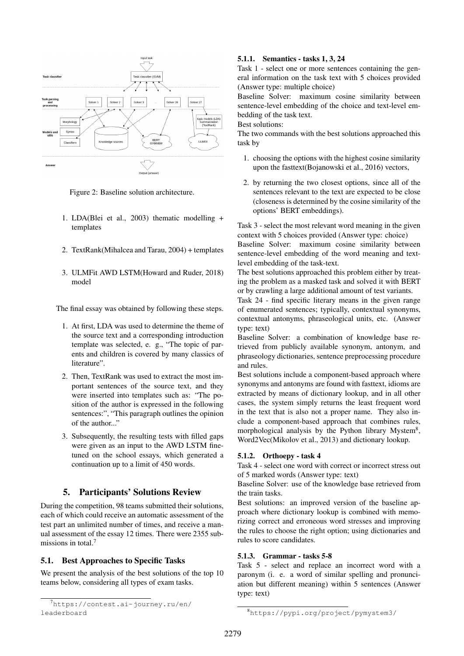

Figure 2: Baseline solution architecture.

- 1. LDA(Blei et al., 2003) thematic modelling + templates
- 2. TextRank(Mihalcea and Tarau, 2004) + templates
- 3. ULMFit AWD LSTM(Howard and Ruder, 2018) model

The final essay was obtained by following these steps.

- 1. At first, LDA was used to determine the theme of the source text and a corresponding introduction template was selected, e. g., "The topic of parents and children is covered by many classics of literature".
- 2. Then, TextRank was used to extract the most important sentences of the source text, and they were inserted into templates such as: "The position of the author is expressed in the following sentences:", "This paragraph outlines the opinion of the author..."
- 3. Subsequently, the resulting tests with filled gaps were given as an input to the AWD LSTM finetuned on the school essays, which generated a continuation up to a limit of 450 words.

# 5. Participants' Solutions Review

During the competition, 98 teams submitted their solutions, each of which could receive an automatic assessment of the test part an unlimited number of times, and receive a manual assessment of the essay 12 times. There were 2355 submissions in total.<sup>7</sup>

## 5.1. Best Approaches to Specific Tasks

We present the analysis of the best solutions of the top 10 teams below, considering all types of exam tasks.

#### 5.1.1. Semantics - tasks 1, 3, 24

Task 1 - select one or more sentences containing the general information on the task text with 5 choices provided (Answer type: multiple choice)

Baseline Solver: maximum cosine similarity between sentence-level embedding of the choice and text-level embedding of the task text.

Best solutions:

The two commands with the best solutions approached this task by

- 1. choosing the options with the highest cosine similarity upon the fasttext(Bojanowski et al., 2016) vectors,
- 2. by returning the two closest options, since all of the sentences relevant to the text are expected to be close (closeness is determined by the cosine similarity of the options' BERT embeddings).

Task 3 - select the most relevant word meaning in the given context with 5 choices provided (Answer type: choice)

Baseline Solver: maximum cosine similarity between sentence-level embedding of the word meaning and textlevel embedding of the task-text.

The best solutions approached this problem either by treating the problem as a masked task and solved it with BERT or by crawling a large additional amount of test variants.

Task 24 - find specific literary means in the given range of enumerated sentences; typically, contextual synonyms, contextual antonyms, phraseological units, etc. (Answer type: text)

Baseline Solver: a combination of knowledge base retrieved from publicly available synonym, antonym, and phraseology dictionaries, sentence preprocessing procedure and rules.

Best solutions include a component-based approach where synonyms and antonyms are found with fasttext, idioms are extracted by means of dictionary lookup, and in all other cases, the system simply returns the least frequent word in the text that is also not a proper name. They also include a component-based approach that combines rules, morphological analysis by the Python library Mystem<sup>8</sup>, Word2Vec(Mikolov et al., 2013) and dictionary lookup.

## 5.1.2. Orthoepy - task 4

Task 4 - select one word with correct or incorrect stress out of 5 marked words (Answer type: text)

Baseline Solver: use of the knowledge base retrieved from the train tasks.

Best solutions: an improved version of the baseline approach where dictionary lookup is combined with memorizing correct and erroneous word stresses and improving the rules to choose the right option; using dictionaries and rules to score candidates.

#### 5.1.3. Grammar - tasks 5-8

Task 5 - select and replace an incorrect word with a paronym (i. e. a word of similar spelling and pronunciation but different meaning) within 5 sentences (Answer type: text)

<sup>7</sup>https://contest.ai-journey.ru/en/ leaderboard

<sup>8</sup>https://pypi.org/project/pymystem3/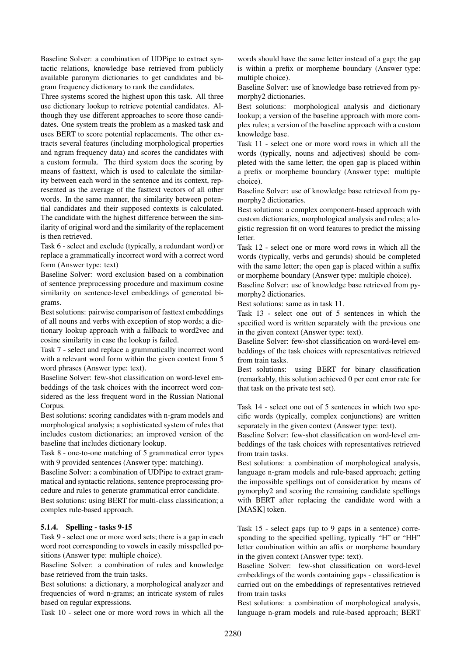Baseline Solver: a combination of UDPipe to extract syntactic relations, knowledge base retrieved from publicly available paronym dictionaries to get candidates and bigram frequency dictionary to rank the candidates.

Three systems scored the highest upon this task. All three use dictionary lookup to retrieve potential candidates. Although they use different approaches to score those candidates. One system treats the problem as a masked task and uses BERT to score potential replacements. The other extracts several features (including morphological properties and ngram frequency data) and scores the candidates with a custom formula. The third system does the scoring by means of fasttext, which is used to calculate the similarity between each word in the sentence and its context, represented as the average of the fasttext vectors of all other words. In the same manner, the similarity between potential candidates and their supposed contexts is calculated. The candidate with the highest difference between the similarity of original word and the similarity of the replacement is then retrieved.

Task 6 - select and exclude (typically, a redundant word) or replace a grammatically incorrect word with a correct word form (Answer type: text)

Baseline Solver: word exclusion based on a combination of sentence preprocessing procedure and maximum cosine similarity on sentence-level embeddings of generated bigrams.

Best solutions: pairwise comparison of fasttext embeddings of all nouns and verbs with exception of stop words; a dictionary lookup approach with a fallback to word2vec and cosine similarity in case the lookup is failed.

Task 7 - select and replace a grammatically incorrect word with a relevant word form within the given context from 5 word phrases (Answer type: text).

Baseline Solver: few-shot classification on word-level embeddings of the task choices with the incorrect word considered as the less frequent word in the Russian National Corpus.

Best solutions: scoring candidates with n-gram models and morphological analysis; a sophisticated system of rules that includes custom dictionaries; an improved version of the baseline that includes dictionary lookup.

Task 8 - one-to-one matching of 5 grammatical error types with 9 provided sentences (Answer type: matching).

Baseline Solver: a combination of UDPipe to extract grammatical and syntactic relations, sentence preprocessing procedure and rules to generate grammatical error candidate.

Best solutions: using BERT for multi-class classification; a complex rule-based approach.

#### 5.1.4. Spelling - tasks 9-15

Task 9 - select one or more word sets; there is a gap in each word root corresponding to vowels in easily misspelled positions (Answer type: multiple choice).

Baseline Solver: a combination of rules and knowledge base retrieved from the train tasks.

Best solutions: a dictionary, a morphological analyzer and frequencies of word n-grams; an intricate system of rules based on regular expressions.

Task 10 - select one or more word rows in which all the

words should have the same letter instead of a gap; the gap is within a prefix or morpheme boundary (Answer type: multiple choice).

Baseline Solver: use of knowledge base retrieved from pymorphy2 dictionaries.

Best solutions: morphological analysis and dictionary lookup; a version of the baseline approach with more complex rules; a version of the baseline approach with a custom knowledge base.

Task 11 - select one or more word rows in which all the words (typically, nouns and adjectives) should be completed with the same letter; the open gap is placed within a prefix or morpheme boundary (Answer type: multiple choice).

Baseline Solver: use of knowledge base retrieved from pymorphy2 dictionaries.

Best solutions: a complex component-based approach with custom dictionaries, morphological analysis and rules; a logistic regression fit on word features to predict the missing letter.

Task 12 - select one or more word rows in which all the words (typically, verbs and gerunds) should be completed with the same letter; the open gap is placed within a suffix or morpheme boundary (Answer type: multiple choice).

Baseline Solver: use of knowledge base retrieved from pymorphy2 dictionaries.

Best solutions: same as in task 11.

Task 13 - select one out of 5 sentences in which the specified word is written separately with the previous one in the given context (Answer type: text).

Baseline Solver: few-shot classification on word-level embeddings of the task choices with representatives retrieved from train tasks.

Best solutions: using BERT for binary classification (remarkably, this solution achieved 0 per cent error rate for that task on the private test set).

Task 14 - select one out of 5 sentences in which two specific words (typically, complex conjunctions) are written separately in the given context (Answer type: text).

Baseline Solver: few-shot classification on word-level embeddings of the task choices with representatives retrieved from train tasks.

Best solutions: a combination of morphological analysis, language n-gram models and rule-based approach; getting the impossible spellings out of consideration by means of pymorphy2 and scoring the remaining candidate spellings with BERT after replacing the candidate word with a [MASK] token.

Task 15 - select gaps (up to 9 gaps in a sentence) corresponding to the specified spelling, typically "H" or "HH" letter combination within an affix or morpheme boundary in the given context (Answer type: text).

Baseline Solver: few-shot classification on word-level embeddings of the words containing gaps - classification is carried out on the embeddings of representatives retrieved from train tasks

Best solutions: a combination of morphological analysis, language n-gram models and rule-based approach; BERT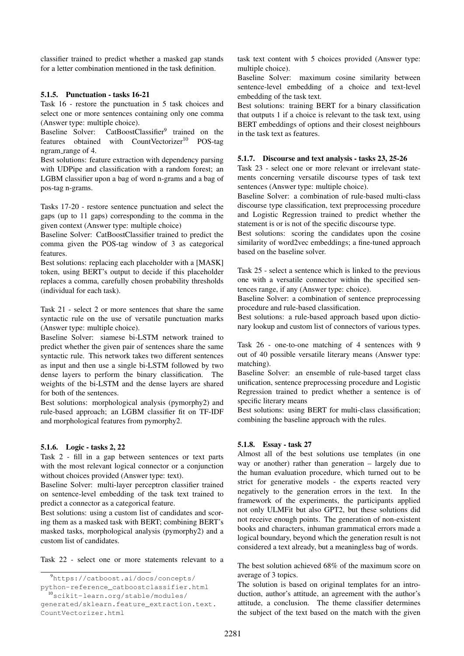classifier trained to predict whether a masked gap stands for a letter combination mentioned in the task definition.

#### 5.1.5. Punctuation - tasks 16-21

Task 16 - restore the punctuation in 5 task choices and select one or more sentences containing only one comma (Answer type: multiple choice).

Baseline Solver: CatBoostClassifier<sup>9</sup> trained on the features obtained with CountVectorizer<sup>10</sup> POS-tag ngram\_range of 4.

Best solutions: feature extraction with dependency parsing with UDPipe and classification with a random forest; an LGBM classifier upon a bag of word n-grams and a bag of pos-tag n-grams.

Tasks 17-20 - restore sentence punctuation and select the gaps (up to 11 gaps) corresponding to the comma in the given context (Answer type: multiple choice)

Baseline Solver: CatBoostClassifier trained to predict the comma given the POS-tag window of 3 as categorical features.

Best solutions: replacing each placeholder with a [MASK] token, using BERT's output to decide if this placeholder replaces a comma, carefully chosen probability thresholds (individual for each task).

Task 21 - select 2 or more sentences that share the same syntactic rule on the use of versatile punctuation marks (Answer type: multiple choice).

Baseline Solver: siamese bi-LSTM network trained to predict whether the given pair of sentences share the same syntactic rule. This network takes two different sentences as input and then use a single bi-LSTM followed by two dense layers to perform the binary classification. The weights of the bi-LSTM and the dense layers are shared for both of the sentences.

Best solutions: morphological analysis (pymorphy2) and rule-based approach; an LGBM classifier fit on TF-IDF and morphological features from pymorphy2.

#### 5.1.6. Logic - tasks 2, 22

Task 2 - fill in a gap between sentences or text parts with the most relevant logical connector or a conjunction without choices provided (Answer type: text).

Baseline Solver: multi-layer perceptron classifier trained on sentence-level embedding of the task text trained to predict a connector as a categorical feature.

Best solutions: using a custom list of candidates and scoring them as a masked task with BERT; combining BERT's masked tasks, morphological analysis (pymorphy2) and a custom list of candidates.

Task 22 - select one or more statements relevant to a

generated/sklearn.feature\_extraction.text. CountVectorizer.html

task text content with 5 choices provided (Answer type: multiple choice).

Baseline Solver: maximum cosine similarity between sentence-level embedding of a choice and text-level embedding of the task text.

Best solutions: training BERT for a binary classification that outputs 1 if a choice is relevant to the task text, using BERT embeddings of options and their closest neighbours in the task text as features.

#### 5.1.7. Discourse and text analysis - tasks 23, 25-26

Task 23 - select one or more relevant or irrelevant statements concerning versatile discourse types of task text sentences (Answer type: multiple choice).

Baseline Solver: a combination of rule-based multi-class discourse type classification, text preprocessing procedure and Logistic Regression trained to predict whether the statement is or is not of the specific discourse type.

Best solutions: scoring the candidates upon the cosine similarity of word2vec embeddings; a fine-tuned approach based on the baseline solver.

Task 25 - select a sentence which is linked to the previous one with a versatile connector within the specified sentences range, if any (Answer type: choice).

Baseline Solver: a combination of sentence preprocessing procedure and rule-based classification.

Best solutions: a rule-based approach based upon dictionary lookup and custom list of connectors of various types.

Task 26 - one-to-one matching of 4 sentences with 9 out of 40 possible versatile literary means (Answer type: matching).

Baseline Solver: an ensemble of rule-based target class unification, sentence preprocessing procedure and Logistic Regression trained to predict whether a sentence is of specific literary means

Best solutions: using BERT for multi-class classification; combining the baseline approach with the rules.

## 5.1.8. Essay - task 27

Almost all of the best solutions use templates (in one way or another) rather than generation – largely due to the human evaluation procedure, which turned out to be strict for generative models - the experts reacted very negatively to the generation errors in the text. In the framework of the experiments, the participants applied not only ULMFit but also GPT2, but these solutions did not receive enough points. The generation of non-existent books and characters, inhuman grammatical errors made a logical boundary, beyond which the generation result is not considered a text already, but a meaningless bag of words.

The best solution achieved 68% of the maximum score on average of 3 topics.

The solution is based on original templates for an introduction, author's attitude, an agreement with the author's attitude, a conclusion. The theme classifier determines the subject of the text based on the match with the given

<sup>9</sup>https://catboost.ai/docs/concepts/

python-reference\_catboostclassifier.html <sup>10</sup>scikit-learn.org/stable/modules/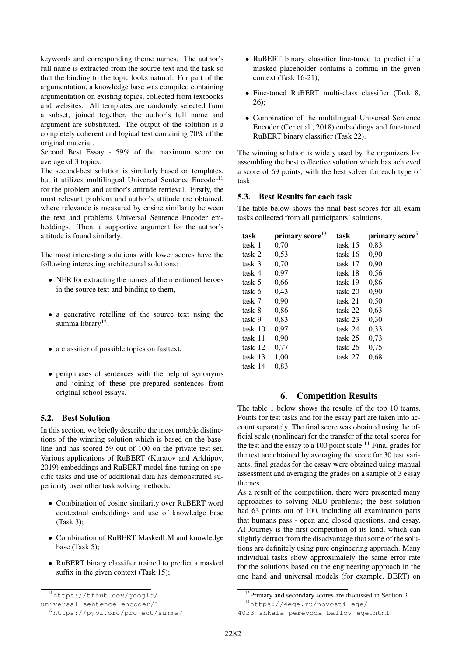keywords and corresponding theme names. The author's full name is extracted from the source text and the task so that the binding to the topic looks natural. For part of the argumentation, a knowledge base was compiled containing argumentation on existing topics, collected from textbooks and websites. All templates are randomly selected from a subset, joined together, the author's full name and argument are substituted. The output of the solution is a completely coherent and logical text containing 70% of the original material.

Second Best Essay - 59% of the maximum score on average of 3 topics.

The second-best solution is similarly based on templates, but it utilizes multilingual Universal Sentence Encoder<sup>11</sup> for the problem and author's attitude retrieval. Firstly, the most relevant problem and author's attitude are obtained, where relevance is measured by cosine similarity between the text and problems Universal Sentence Encoder embeddings. Then, a supportive argument for the author's attitude is found similarly.

The most interesting solutions with lower scores have the following interesting architectural solutions:

- NER for extracting the names of the mentioned heroes in the source text and binding to them,
- a generative retelling of the source text using the summa library<sup>12</sup>,
- a classifier of possible topics on fasttext,
- periphrases of sentences with the help of synonyms and joining of these pre-prepared sentences from original school essays.

## 5.2. Best Solution

In this section, we briefly describe the most notable distinctions of the winning solution which is based on the baseline and has scored 59 out of 100 on the private test set. Various applications of RuBERT (Kuratov and Arkhipov, 2019) embeddings and RuBERT model fine-tuning on specific tasks and use of additional data has demonstrated superiority over other task solving methods:

- Combination of cosine similarity over RuBERT word contextual embeddings and use of knowledge base (Task 3);
- Combination of RuBERT MaskedLM and knowledge base (Task 5);
- RuBERT binary classifier trained to predict a masked suffix in the given context (Task 15);
- RuBERT binary classifier fine-tuned to predict if a masked placeholder contains a comma in the given context (Task 16-21);
- Fine-tuned RuBERT multi-class classifier (Task 8, 26);
- Combination of the multilingual Universal Sentence Encoder (Cer et al., 2018) embeddings and fine-tuned RuBERT binary classifier (Task 22).

The winning solution is widely used by the organizers for assembling the best collective solution which has achieved a score of 69 points, with the best solver for each type of task.

# 5.3. Best Results for each task

The table below shows the final best scores for all exam tasks collected from all participants' solutions.

| task               | primary score <sup>13</sup> | task      | primary score <sup>5</sup> |
|--------------------|-----------------------------|-----------|----------------------------|
| task_1             | 0,70                        | $task_15$ | 0,83                       |
| task 2             | 0.53                        | task 16   | 0,90                       |
| task 3             | 0,70                        | $task_17$ | 0,90                       |
| task 4             | 0.97                        | task_18   | 0.56                       |
| task 5             | 0.66                        | $task_19$ | 0.86                       |
| task_6             | 0.43                        | task_20   | 0,90                       |
| task <sub>-7</sub> | 0.90                        | $task_21$ | 0.50                       |
| task 8             | 0,86                        | task_22   | 0.63                       |
| task 9             | 0,83                        | task 23   | 0,30                       |
| task 10            | 0,97                        | task 24   | 0.33                       |
| task 11            | 0,90                        | task 25   | 0.73                       |
| task 12            | 0,77                        | task 26   | 0.75                       |
| $task_13$          | 1,00                        | $task_27$ | 0.68                       |
| $task_14$          | 0,83                        |           |                            |

# 6. Competition Results

The table 1 below shows the results of the top 10 teams. Points for test tasks and for the essay part are taken into account separately. The final score was obtained using the official scale (nonlinear) for the transfer of the total scores for the test and the essay to a 100 point scale.<sup>14</sup> Final grades for the test are obtained by averaging the score for 30 test variants; final grades for the essay were obtained using manual assessment and averaging the grades on a sample of 3 essay themes.

As a result of the competition, there were presented many approaches to solving NLU problems; the best solution had 63 points out of 100, including all examination parts that humans pass - open and closed questions, and essay. AI Journey is the first competition of its kind, which can slightly detract from the disadvantage that some of the solutions are definitely using pure engineering approach. Many individual tasks show approximately the same error rate for the solutions based on the engineering approach in the one hand and universal models (for example, BERT) on

<sup>11</sup>https://tfhub.dev/google/

universal-sentence-encoder/1

<sup>12</sup>https://pypi.org/project/summa/

<sup>&</sup>lt;sup>13</sup>Primary and secondary scores are discussed in Section 3.

<sup>14</sup>https://4ege.ru/novosti-ege/

<sup>4023-</sup>shkala-perevoda-ballov-ege.html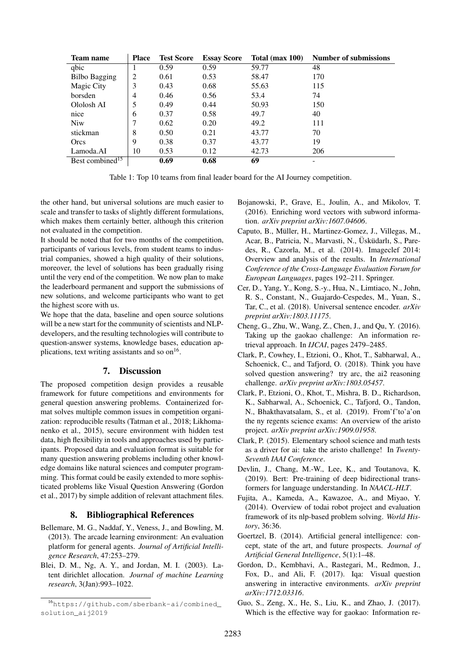| Team name                   | <b>Place</b> | <b>Test Score</b> | <b>Essay Score</b> | Total (max 100) | <b>Number of submissions</b> |
|-----------------------------|--------------|-------------------|--------------------|-----------------|------------------------------|
| qbic                        |              | 0.59              | 0.59               | 59.77           | 48                           |
| <b>Bilbo Bagging</b>        | 2            | 0.61              | 0.53               | 58.47           | 170                          |
| Magic City                  | 3            | 0.43              | 0.68               | 55.63           | 115                          |
| borsden                     | 4            | 0.46              | 0.56               | 53.4            | 74                           |
| Ololosh AI                  | 5            | 0.49              | 0.44               | 50.93           | 150                          |
| nice                        | 6            | 0.37              | 0.58               | 49.7            | 40                           |
| <b>Niw</b>                  | 7            | 0.62              | 0.20               | 49.2            | 111                          |
| stickman                    | 8            | 0.50              | 0.21               | 43.77           | 70                           |
| Orcs                        | 9            | 0.38              | 0.37               | 43.77           | 19                           |
| Lamoda.AI                   | 10           | 0.53              | 0.12               | 42.73           | 206                          |
| Best combined <sup>15</sup> |              | 0.69              | 0.68               | 69              |                              |

Table 1: Top 10 teams from final leader board for the AI Journey competition.

the other hand, but universal solutions are much easier to scale and transfer to tasks of slightly different formulations, which makes them certainly better, although this criterion not evaluated in the competition.

It should be noted that for two months of the competition, participants of various levels, from student teams to industrial companies, showed a high quality of their solutions, moreover, the level of solutions has been gradually rising until the very end of the competition. We now plan to make the leaderboard permanent and support the submissions of new solutions, and welcome participants who want to get the highest score with us.

We hope that the data, baseline and open source solutions will be a new start for the community of scientists and NLPdevelopers, and the resulting technologies will contribute to question-answer systems, knowledge bases, education applications, text writing assistants and so on<sup>16</sup>.

# 7. Discussion

The proposed competition design provides a reusable framework for future competitions and environments for general question answering problems. Containerized format solves multiple common issues in competition organization: reproducible results (Tatman et al., 2018; Likhomanenko et al., 2015), secure environment with hidden test data, high flexibility in tools and approaches used by participants. Proposed data and evaluation format is suitable for many question answering problems including other knowledge domains like natural sciences and computer programming. This format could be easily extended to more sophisticated problems like Visual Question Answering (Gordon et al., 2017) by simple addition of relevant attachment files.

## 8. Bibliographical References

- Bellemare, M. G., Naddaf, Y., Veness, J., and Bowling, M. (2013). The arcade learning environment: An evaluation platform for general agents. *Journal of Artificial Intelligence Research*, 47:253–279.
- Blei, D. M., Ng, A. Y., and Jordan, M. I. (2003). Latent dirichlet allocation. *Journal of machine Learning research*, 3(Jan):993–1022.
- Bojanowski, P., Grave, E., Joulin, A., and Mikolov, T. (2016). Enriching word vectors with subword information. *arXiv preprint arXiv:1607.04606*.
- Caputo, B., Müller, H., Martinez-Gomez, J., Villegas, M., Acar, B., Patricia, N., Marvasti, N., Üsküdarlı, S., Paredes, R., Cazorla, M., et al. (2014). Imageclef 2014: Overview and analysis of the results. In *International Conference of the Cross-Language Evaluation Forum for European Languages*, pages 192–211. Springer.
- Cer, D., Yang, Y., Kong, S.-y., Hua, N., Limtiaco, N., John, R. S., Constant, N., Guajardo-Cespedes, M., Yuan, S., Tar, C., et al. (2018). Universal sentence encoder. *arXiv preprint arXiv:1803.11175*.
- Cheng, G., Zhu, W., Wang, Z., Chen, J., and Qu, Y. (2016). Taking up the gaokao challenge: An information retrieval approach. In *IJCAI*, pages 2479–2485.
- Clark, P., Cowhey, I., Etzioni, O., Khot, T., Sabharwal, A., Schoenick, C., and Tafjord, O. (2018). Think you have solved question answering? try arc, the ai2 reasoning challenge. *arXiv preprint arXiv:1803.05457*.
- Clark, P., Etzioni, O., Khot, T., Mishra, B. D., Richardson, K., Sabharwal, A., Schoenick, C., Tafjord, O., Tandon, N., Bhakthavatsalam, S., et al. (2019). From'f'to'a'on the ny regents science exams: An overview of the aristo project. *arXiv preprint arXiv:1909.01958*.
- Clark, P. (2015). Elementary school science and math tests as a driver for ai: take the aristo challenge! In *Twenty-Seventh IAAI Conference*.
- Devlin, J., Chang, M.-W., Lee, K., and Toutanova, K. (2019). Bert: Pre-training of deep bidirectional transformers for language understanding. In *NAACL-HLT*.
- Fujita, A., Kameda, A., Kawazoe, A., and Miyao, Y. (2014). Overview of todai robot project and evaluation framework of its nlp-based problem solving. *World History*, 36:36.
- Goertzel, B. (2014). Artificial general intelligence: concept, state of the art, and future prospects. *Journal of Artificial General Intelligence*, 5(1):1–48.
- Gordon, D., Kembhavi, A., Rastegari, M., Redmon, J., Fox, D., and Ali, F. (2017). Iqa: Visual question answering in interactive environments. *arXiv preprint arXiv:1712.03316*.
- Guo, S., Zeng, X., He, S., Liu, K., and Zhao, J. (2017). Which is the effective way for gaokao: Information re-

<sup>16</sup>https://github.com/sberbank-ai/combined\_ solution\_aij2019